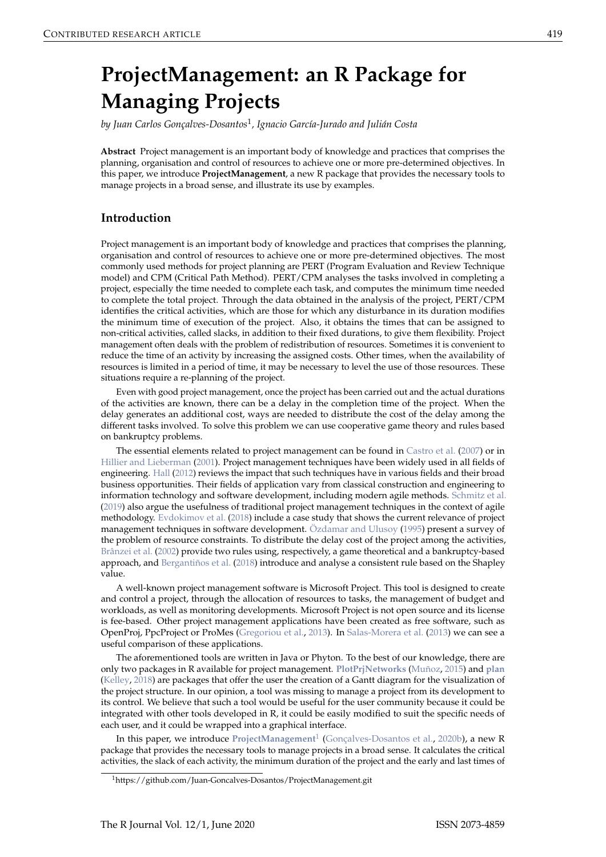# <span id="page-0-1"></span><span id="page-0-0"></span>**ProjectManagement: an R Package for Managing Projects**

*by Juan Carlos Gonçalves-Dosantos*<sup>1</sup> *, Ignacio García-Jurado and Julián Costa*

**Abstract** Project management is an important body of knowledge and practices that comprises the planning, organisation and control of resources to achieve one or more pre-determined objectives. In this paper, we introduce **ProjectManagement**, a new R package that provides the necessary tools to manage projects in a broad sense, and illustrate its use by examples.

## **Introduction**

Project management is an important body of knowledge and practices that comprises the planning, organisation and control of resources to achieve one or more pre-determined objectives. The most commonly used methods for project planning are PERT (Program Evaluation and Review Technique model) and CPM (Critical Path Method). PERT/CPM analyses the tasks involved in completing a project, especially the time needed to complete each task, and computes the minimum time needed to complete the total project. Through the data obtained in the analysis of the project, PERT/CPM identifies the critical activities, which are those for which any disturbance in its duration modifies the minimum time of execution of the project. Also, it obtains the times that can be assigned to non-critical activities, called slacks, in addition to their fixed durations, to give them flexibility. Project management often deals with the problem of redistribution of resources. Sometimes it is convenient to reduce the time of an activity by increasing the assigned costs. Other times, when the availability of resources is limited in a period of time, it may be necessary to level the use of those resources. These situations require a re-planning of the project.

Even with good project management, once the project has been carried out and the actual durations of the activities are known, there can be a delay in the completion time of the project. When the delay generates an additional cost, ways are needed to distribute the cost of the delay among the different tasks involved. To solve this problem we can use cooperative game theory and rules based on bankruptcy problems.

The essential elements related to project management can be found in [Castro et al.](#page-15-0) [\(2007\)](#page-15-0) or in [Hillier and Lieberman](#page-16-0) [\(2001\)](#page-16-0). Project management techniques have been widely used in all fields of engineering. [Hall](#page-16-1) [\(2012\)](#page-16-1) reviews the impact that such techniques have in various fields and their broad business opportunities. Their fields of application vary from classical construction and engineering to information technology and software development, including modern agile methods. [Schmitz et al.](#page-16-2) [\(2019\)](#page-16-2) also argue the usefulness of traditional project management techniques in the context of agile methodology. [Evdokimov et al.](#page-16-3) [\(2018\)](#page-16-3) include a case study that shows the current relevance of project management techniques in software development. [Özdamar and Ulusoy](#page-16-4) [\(1995\)](#page-16-4) present a survey of the problem of resource constraints. To distribute the delay cost of the project among the activities, [Brânzei et al.](#page-15-1) [\(2002\)](#page-15-1) provide two rules using, respectively, a game theoretical and a bankruptcy-based approach, and [Bergantiños et al.](#page-15-2) [\(2018\)](#page-15-2) introduce and analyse a consistent rule based on the Shapley value.

A well-known project management software is Microsoft Project. This tool is designed to create and control a project, through the allocation of resources to tasks, the management of budget and workloads, as well as monitoring developments. Microsoft Project is not open source and its license is fee-based. Other project management applications have been created as free software, such as OpenProj, PpcProject or ProMes [\(Gregoriou et al.,](#page-16-5) [2013\)](#page-16-5). In [Salas-Morera et al.](#page-16-6) [\(2013\)](#page-16-6) we can see a useful comparison of these applications.

The aforementioned tools are written in Java or Phyton. To the best of our knowledge, there are only two packages in R available for project management. **[PlotPrjNetworks](https://CRAN.R-project.org/package=PlotPrjNetworks)** [\(Muñoz,](#page-16-7) [2015\)](#page-16-7) and **[plan](https://CRAN.R-project.org/package=plan)** [\(Kelley,](#page-16-8) [2018\)](#page-16-8) are packages that offer the user the creation of a Gantt diagram for the visualization of the project structure. In our opinion, a tool was missing to manage a project from its development to its control. We believe that such a tool would be useful for the user community because it could be integrated with other tools developed in R, it could be easily modified to suit the specific needs of each user, and it could be wrapped into a graphical interface.

In this paper, we introduce **[ProjectManagement](https://CRAN.R-project.org/package=ProjectManagement)**<sup>1</sup> [\(Gonçalves-Dosantos et al.,](#page-16-9) [2020b\)](#page-16-9), a new R package that provides the necessary tools to manage projects in a broad sense. It calculates the critical activities, the slack of each activity, the minimum duration of the project and the early and last times of

<sup>1</sup>https://github.com/Juan-Goncalves-Dosantos/ProjectManagement.git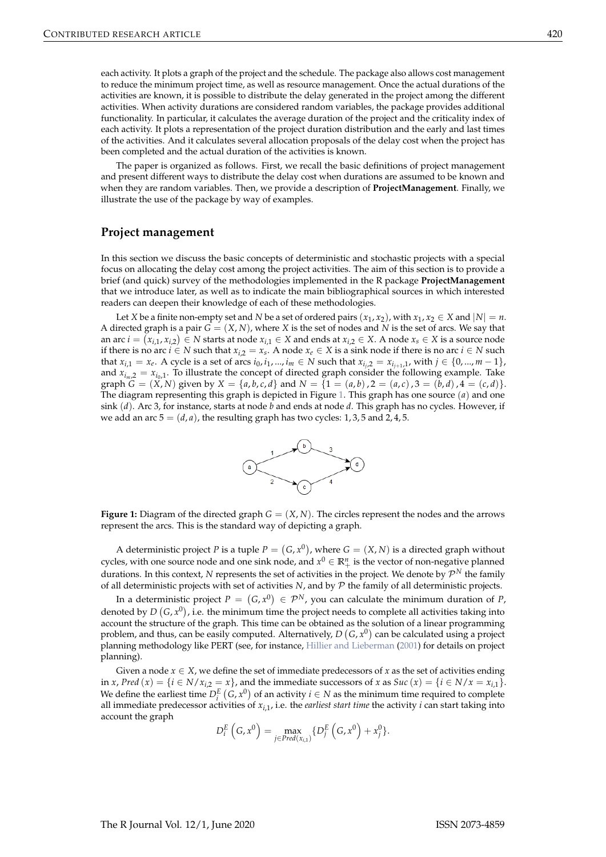<span id="page-1-1"></span>each activity. It plots a graph of the project and the schedule. The package also allows cost management to reduce the minimum project time, as well as resource management. Once the actual durations of the activities are known, it is possible to distribute the delay generated in the project among the different activities. When activity durations are considered random variables, the package provides additional functionality. In particular, it calculates the average duration of the project and the criticality index of each activity. It plots a representation of the project duration distribution and the early and last times of the activities. And it calculates several allocation proposals of the delay cost when the project has been completed and the actual duration of the activities is known.

The paper is organized as follows. First, we recall the basic definitions of project management and present different ways to distribute the delay cost when durations are assumed to be known and when they are random variables. Then, we provide a description of **ProjectManagement**. Finally, we illustrate the use of the package by way of examples.

#### **Project management**

In this section we discuss the basic concepts of deterministic and stochastic projects with a special focus on allocating the delay cost among the project activities. The aim of this section is to provide a brief (and quick) survey of the methodologies implemented in the R package **ProjectManagement** that we introduce later, as well as to indicate the main bibliographical sources in which interested readers can deepen their knowledge of each of these methodologies.

Let *X* be a finite non-empty set and *N* be a set of ordered pairs  $(x_1, x_2)$ , with  $x_1, x_2 \in X$  and  $|N| = n$ . A directed graph is a pair  $G = (X, N)$ , where X is the set of nodes and N is the set of arcs. We say that an arc  $i = (x_{i,1}, x_{i,2}) \in N$  starts at node  $x_{i,1} \in X$  and ends at  $x_{i,2} \in X$ . A node  $x_s \in X$  is a source node if there is no arc *i* ∈ *N* such that  $x_i$ <sub>2</sub> =  $x_s$ . A node  $x_e$  ∈ *X* is a sink node if there is no arc *i* ∈ *N* such that  $x_{i,1} = x_e$ . A cycle is a set of arcs  $i_0, i_1, ..., i_m \in N$  such that  $x_{i_j,2} = x_{i_{j+1},1}$ , with  $j \in \{0,...,m-1\}$ , and  $x_{i_m,2} = x_{i_0,1}$ . To illustrate the concept of directed graph consider the following example. Take graph  $G = (X, N)$  given by  $X = \{a, b, c, d\}$  and  $N = \{1 = (a, b), 2 = (a, c), 3 = (b, d), 4 = (c, d)\}.$ The diagram representing this graph is depicted in Figure [1.](#page-1-0) This graph has one source (*a*) and one sink (*d*). Arc 3, for instance, starts at node *b* and ends at node *d*. This graph has no cycles. However, if we add an arc  $5 = (d, a)$ , the resulting graph has two cycles: 1, 3, 5 and 2, 4, 5.



<span id="page-1-0"></span>**Figure 1:** Diagram of the directed graph  $G = (X, N)$ . The circles represent the nodes and the arrows represent the arcs. This is the standard way of depicting a graph.

A deterministic project *P* is a tuple  $P = (G, x^0)$ , where  $G = (X, N)$  is a directed graph without cycles, with one source node and one sink node, and  $x^0 \in \mathbb{R}^n_+$  is the vector of non-negative planned durations. In this context, N represents the set of activities in the project. We denote by  $\mathcal{P}^N$  the family of all deterministic projects with set of activities *N*, and by P the family of all deterministic projects.

In a deterministic project  $P = (G, x^0) \in \mathcal{P}^N$ , you can calculate the minimum duration of P, denoted by  $D(G, x^0)$ , i.e. the minimum time the project needs to complete all activities taking into account the structure of the graph. This time can be obtained as the solution of a linear programming problem, and thus, can be easily computed. Alternatively,  $D\left(G, x^0\right)$  can be calculated using a project planning methodology like PERT (see, for instance, [Hillier and Lieberman](#page-16-0) [\(2001\)](#page-16-0) for details on project planning).

Given a node  $x \in X$ , we define the set of immediate predecessors of x as the set of activities ending in *x*, *Pred* (*x*) = {*i* ∈ *N*/*xi*,2 = *x*}, and the immediate successors of *x* as *Suc* (*x*) = {*i* ∈ *N*/*x* = *xi*,1}. We define the earliest time  $D_i^E(G, x^0)$  of an activity  $i \in N$  as the minimum time required to complete all immediate predecessor activities of  $x_{i,1}$ , i.e. the *earliest start time* the activity *i* can start taking into account the graph

$$
D_i^E\left(G, x^0\right) = \max_{j \in Pred(x_{i,1})} \{D_j^E\left(G, x^0\right) + x_j^0\}.
$$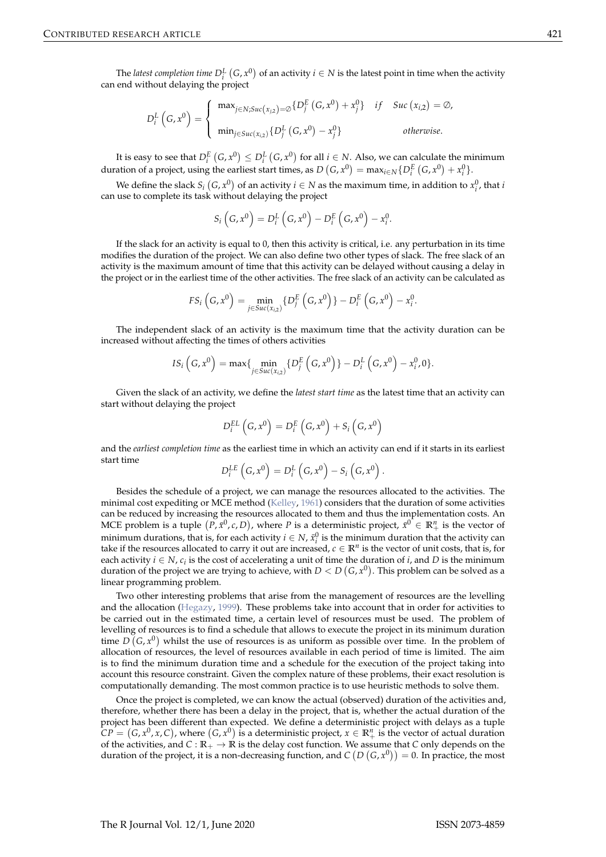<span id="page-2-0"></span>The *latest completion time*  $D_i^L(G, x^0)$  of an activity  $i \in N$  is the latest point in time when the activity can end without delaying the project

$$
D_i^L\left(G, x^0\right) = \begin{cases} \max_{j \in N; Suc(x_{j,2}) = \emptyset} \{D_j^E\left(G, x^0\right) + x_j^0\} & \text{if} \quad Suc\left(x_{i,2}\right) = \emptyset, \\ \min_{j \in Suc(x_{i,2})} \{D_j^L\left(G, x^0\right) - x_j^0\} & \text{otherwise.} \end{cases}
$$

It is easy to see that  $D_i^E(G, x^0) \leq D_i^L(G, x^0)$  for all  $i \in N$ . Also, we can calculate the minimum duration of a project, using the earliest start times, as  $D(G, x^0) = \max_{i \in N} \{D_i^E(G, x^0) + x_i^0\}.$ 

We define the slack  $S_i(G, x^0)$  of an activity  $i \in N$  as the maximum time, in addition to  $x_i^0$ , that *i* can use to complete its task without delaying the project

$$
S_i\left(G, x^0\right) = D_i^L\left(G, x^0\right) - D_i^E\left(G, x^0\right) - x_i^0.
$$

If the slack for an activity is equal to 0, then this activity is critical, i.e. any perturbation in its time modifies the duration of the project. We can also define two other types of slack. The free slack of an activity is the maximum amount of time that this activity can be delayed without causing a delay in the project or in the earliest time of the other activities. The free slack of an activity can be calculated as

$$
FS_i\left(G, x^0\right) = \min_{j \in \text{Suc}(x_{i,2})} \{D_j^E\left(G, x^0\right)\} - D_i^E\left(G, x^0\right) - x_i^0.
$$

The independent slack of an activity is the maximum time that the activity duration can be increased without affecting the times of others activities

$$
IS_i\left(G, x^0\right) = \max\{\min_{j \in \text{Suc}(x_{i,2})} \{D_j^E\left(G, x^0\right)\} - D_i^L\left(G, x^0\right) - x_i^0, 0\}.
$$

Given the slack of an activity, we define the *latest start time* as the latest time that an activity can start without delaying the project

$$
D_i^{EL}\left(G, x^0\right) = D_i^{E}\left(G, x^0\right) + S_i\left(G, x^0\right)
$$

and the *earliest completion time* as the earliest time in which an activity can end if it starts in its earliest start time

$$
D_i^{LE}\left(G, x^0\right) = D_i^L\left(G, x^0\right) - S_i\left(G, x^0\right).
$$

Besides the schedule of a project, we can manage the resources allocated to the activities. The minimal cost expediting or MCE method [\(Kelley,](#page-16-10) [1961\)](#page-16-10) considers that the duration of some activities can be reduced by increasing the resources allocated to them and thus the implementation costs. An MCE problem is a tuple  $(P, \bar{x}^0, c, D)$ , where *P* is a deterministic project,  $\bar{x}^0 \in \mathbb{R}^n_+$  is the vector of minimum durations, that is, for each activity  $i \in N$ ,  $\bar{x}_i^0$  is the minimum duration that the activity can take if the resources allocated to carry it out are increased,  $c \in \mathbb{R}^n$  is the vector of unit costs, that is, for each activity  $i \in N$ ,  $c_i$  is the cost of accelerating a unit of time the duration of  $i$ , and  $D$  is the minimum duration of the project we are trying to achieve, with  $D < D$   $(G, x^0).$  This problem can be solved as a linear programming problem.

Two other interesting problems that arise from the management of resources are the levelling and the allocation [\(Hegazy,](#page-16-11) [1999\)](#page-16-11). These problems take into account that in order for activities to be carried out in the estimated time, a certain level of resources must be used. The problem of levelling of resources is to find a schedule that allows to execute the project in its minimum duration time  $D(G, x^0)$  whilst the use of resources is as uniform as possible over time. In the problem of allocation of resources, the level of resources available in each period of time is limited. The aim is to find the minimum duration time and a schedule for the execution of the project taking into account this resource constraint. Given the complex nature of these problems, their exact resolution is computationally demanding. The most common practice is to use heuristic methods to solve them.

Once the project is completed, we can know the actual (observed) duration of the activities and, therefore, whether there has been a delay in the project, that is, whether the actual duration of the project has been different than expected. We define a deterministic project with delays as a tuple  $CP = (G, x^0, x, C)$ , where  $(G, x^0)$  is a deterministic project,  $x \in \mathbb{R}^n_+$  is the vector of actual duration of the activities, and  $C : \mathbb{R}_+ \to \mathbb{R}$  is the delay cost function. We assume that *C* only depends on the duration of the project, it is a non-decreasing function, and  $C(D(G, x^0)) = 0$ . In practice, the most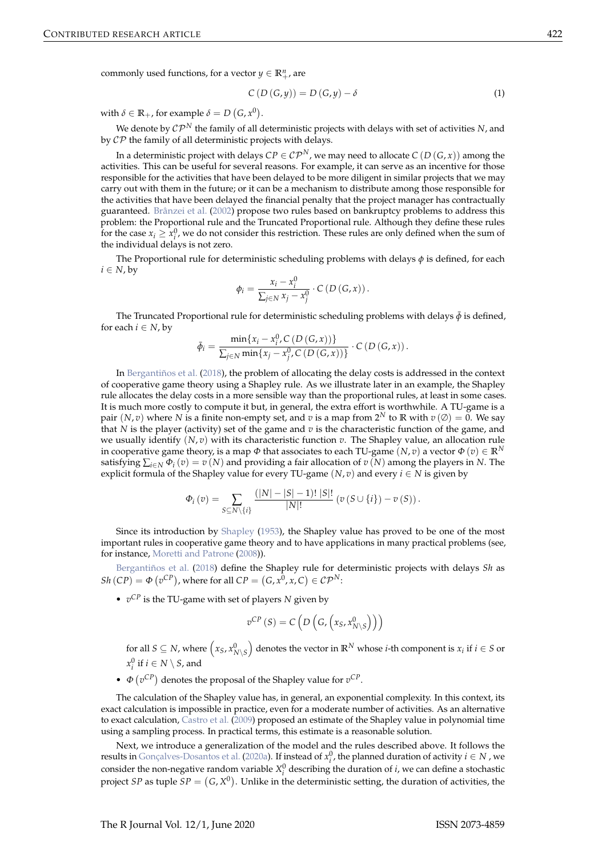<span id="page-3-1"></span>commonly used functions, for a vector  $y \in \mathbb{R}^n_+$ , are

<span id="page-3-0"></span>
$$
C(D(G,y)) = D(G,y) - \delta
$$
\n(1)

with  $\delta \in \mathbb{R}_+$ , for example  $\delta = D\left(G, x^0\right)$ .

We denote by  $\mathcal{CP}^N$  the family of all deterministic projects with delays with set of activities *N*, and by  $\mathcal{CP}$  the family of all deterministic projects with delays.

In a deterministic project with delays  $CP \in CP^N$ , we may need to allocate  $C(D(G, x))$  among the activities. This can be useful for several reasons. For example, it can serve as an incentive for those responsible for the activities that have been delayed to be more diligent in similar projects that we may carry out with them in the future; or it can be a mechanism to distribute among those responsible for the activities that have been delayed the financial penalty that the project manager has contractually guaranteed. [Brânzei et al.](#page-15-1) [\(2002\)](#page-15-1) propose two rules based on bankruptcy problems to address this problem: the Proportional rule and the Truncated Proportional rule. Although they define these rules for the case  $x_i \geq x_i^0$ , we do not consider this restriction. These rules are only defined when the sum of the individual delays is not zero.

The Proportional rule for deterministic scheduling problems with delays *φ* is defined, for each  $i \in N$ , by

$$
\phi_i = \frac{x_i - x_i^0}{\sum_{j \in N} x_j - x_j^0} \cdot C\left(D\left(G, x\right)\right).
$$

The Truncated Proportional rule for deterministic scheduling problems with delays  $\bar{\phi}$  is defined, for each  $i \in N$ , by

$$
\bar{\phi}_i = \frac{\min\{x_i - x_i^0, C(D(G, x))\}}{\sum_{j \in N} \min\{x_j - x_j^0, C(D(G, x))\}} \cdot C(D(G, x)).
$$

In [Bergantiños et al.](#page-15-2) [\(2018\)](#page-15-2), the problem of allocating the delay costs is addressed in the context of cooperative game theory using a Shapley rule. As we illustrate later in an example, the Shapley rule allocates the delay costs in a more sensible way than the proportional rules, at least in some cases. It is much more costly to compute it but, in general, the extra effort is worthwhile. A TU-game is a pair  $(N, v)$  where N is a finite non-empty set, and  $v$  is a map from  $2^N$  to  $\mathbb R$  with  $v(\emptyset) = 0$ . We say that *N* is the player (activity) set of the game and *v* is the characteristic function of the game, and we usually identify  $(N, v)$  with its characteristic function  $v$ . The Shapley value, an allocation rule in cooperative game theory, is a map  $\Phi$  that associates to each TU-game  $(N, v)$  a vector  $\Phi(v) \in \mathbb{R}^N$ satisfying  $\sum_{i\in\mathbb{N}} \Phi_i(v) = v(N)$  and providing a fair allocation of  $v(N)$  among the players in *N*. The explicit formula of the Shapley value for every TU-game ( $N$ ,  $v$ ) and every  $i \in N$  is given by

$$
\Phi_i(v) = \sum_{S \subseteq N \setminus \{i\}} \frac{(|N| - |S| - 1)! |S|!}{|N|!} \left(v(S \cup \{i\}) - v(S)\right).
$$

Since its introduction by [Shapley](#page-16-12) [\(1953\)](#page-16-12), the Shapley value has proved to be one of the most important rules in cooperative game theory and to have applications in many practical problems (see, for instance, [Moretti and Patrone](#page-16-13) [\(2008\)](#page-16-13)).

[Bergantiños et al.](#page-15-2) [\(2018\)](#page-15-2) define the Shapley rule for deterministic projects with delays *Sh* as  $Sh(CP) = \Phi(v^{CP})$ , where for all  $CP = (G, x^0, x, C) \in \mathcal{CP}^N$ :

• *v CP* is the TU-game with set of players *N* given by

$$
v^{CP}(S) = C\left(D\left(G, \left(x_S, x_{N\setminus S}^0\right)\right)\right)
$$

for all  $S \subseteq N$ , where  $\left(x_S, x_{N \setminus S}^0\right)$  denotes the vector in  $\mathbb{R}^N$  whose *i*-th component is  $x_i$  if  $i \in S$  or  $x_i^0$  if  $i \in N \setminus S$ , and

•  $\Phi(v^{CP})$  denotes the proposal of the Shapley value for  $v^{CP}$ .

The calculation of the Shapley value has, in general, an exponential complexity. In this context, its exact calculation is impossible in practice, even for a moderate number of activities. As an alternative to exact calculation, [Castro et al.](#page-16-14) [\(2009\)](#page-16-14) proposed an estimate of the Shapley value in polynomial time using a sampling process. In practical terms, this estimate is a reasonable solution.

Next, we introduce a generalization of the model and the rules described above. It follows the results in [Gonçalves-Dosantos et al.](#page-16-15) [\(2020a\)](#page-16-15). If instead of  $x_i^0$ , the planned duration of activity  $i \in N$  , we consider the non-negative random variable  $X_i^0$  describing the duration of *i*, we can define a stochastic project *SP* as tuple  $SP = (G, X^0)$ . Unlike in the deterministic setting, the duration of activities, the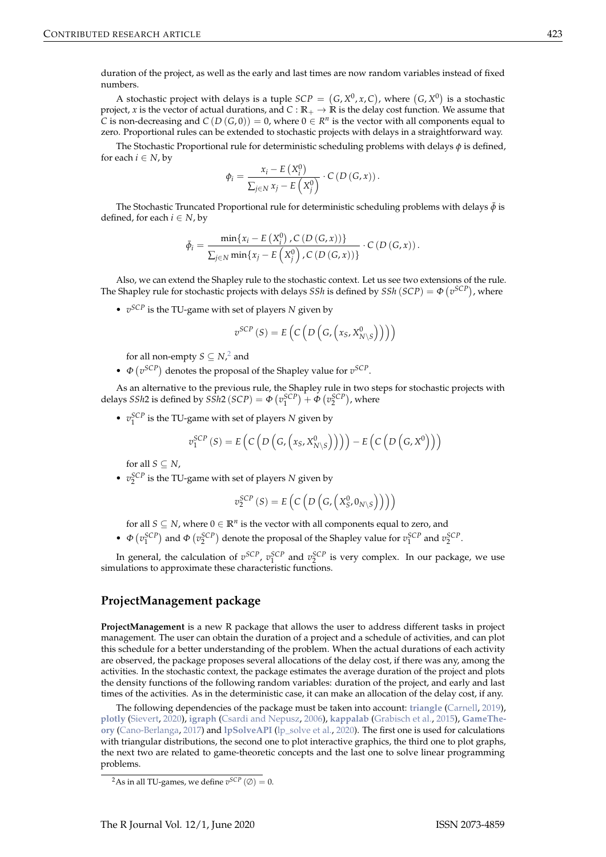<span id="page-4-0"></span>duration of the project, as well as the early and last times are now random variables instead of fixed numbers.

A stochastic project with delays is a tuple  $\mathit{SCP}=(G,X^0,x,C)$ , where  $(G,X^0)$  is a stochastic project, *x* is the vector of actual durations, and  $C : \mathbb{R}_+ \to \mathbb{R}$  is the delay cost function. We assume that *C* is non-decreasing and  $C(D(G,0)) = 0$ , where  $0 \in R^n$  is the vector with all components equal to zero. Proportional rules can be extended to stochastic projects with delays in a straightforward way.

The Stochastic Proportional rule for deterministic scheduling problems with delays *φ* is defined, for each  $i \in N$ , by

$$
\phi_i = \frac{x_i - E\left(X_i^0\right)}{\sum_{j \in N} x_j - E\left(X_j^0\right)} \cdot C\left(D\left(G, x\right)\right).
$$

The Stochastic Truncated Proportional rule for deterministic scheduling problems with delays  $\bar{\phi}$  is defined, for each  $i \in N$ , by

$$
\bar{\phi}_i = \frac{\min\{x_i - E\left(X_i^0\right), C\left(D\left(G, x\right)\right)\}}{\sum_{j \in N} \min\{x_j - E\left(X_j^0\right), C\left(D\left(G, x\right)\right)\}} \cdot C\left(D\left(G, x\right)\right).
$$

Also, we can extend the Shapley rule to the stochastic context. Let us see two extensions of the rule. The Shapley rule for stochastic projects with delays *SSh* is defined by  $\textit{SSh}$  (*SCP*) =  $\Phi$  ( $v^{\textit{SCP}}$ ), where

• *v SCP* is the TU-game with set of players *N* given by

$$
v^{SCP}(S) = E\left(C\left(D\left(G, \left(x_S, X_{N\setminus S}^0\right)\right)\right)\right)
$$

for all non-empty  $S \subseteq N$ , and

•  $\Phi(v^{SCP})$  denotes the proposal of the Shapley value for  $v^{SCP}$ .

As an alternative to the previous rule, the Shapley rule in two steps for stochastic projects with delays *SSh*2 is defined by *SSh*2 (*SCP*) =  $\Phi(v_1^{SCP}) + \Phi(v_2^{SCP})$ , where

•  $v_1^{SCP}$  is the TU-game with set of players *N* given by

$$
v_1^{SCP}(S) = E\left(C\left(D\left(G,\left(x_S,X_{N\setminus S}^0\right)\right)\right)\right) - E\left(C\left(D\left(G,X^0\right)\right)\right)
$$

for all  $S \subseteq N$ ,

•  $v_2^{SCP}$  is the TU-game with set of players *N* given by

$$
v_2^{SCP}(S) = E\left(C\left(D\left(G,\left(X_S^0,0_{N\setminus S}\right)\right)\right)\right)
$$

for all  $S \subseteq N$ , where  $0 \in \mathbb{R}^n$  is the vector with all components equal to zero, and

•  $\Phi\left(v_1^{SCP}\right)$  and  $\Phi\left(v_2^{SCP}\right)$  denote the proposal of the Shapley value for  $v_1^{SCP}$  and  $v_2^{SCP}$ .

In general, the calculation of  $v^{SCP}$ ,  $v_1^{SCP}$  and  $v_2^{SCP}$  is very complex. In our package, we use simulations to approximate these characteristic functions.

### **ProjectManagement package**

**ProjectManagement** is a new R package that allows the user to address different tasks in project management. The user can obtain the duration of a project and a schedule of activities, and can plot this schedule for a better understanding of the problem. When the actual durations of each activity are observed, the package proposes several allocations of the delay cost, if there was any, among the activities. In the stochastic context, the package estimates the average duration of the project and plots the density functions of the following random variables: duration of the project, and early and last times of the activities. As in the deterministic case, it can make an allocation of the delay cost, if any.

The following dependencies of the package must be taken into account: **[triangle](https://CRAN.R-project.org/package=triangle)** [\(Carnell,](#page-15-3) [2019\)](#page-15-3), **[plotly](https://CRAN.R-project.org/package=plotly)** [\(Sievert,](#page-16-16) [2020\)](#page-16-16), **[igraph](https://CRAN.R-project.org/package=igraph)** [\(Csardi and Nepusz,](#page-16-17) [2006\)](#page-16-17), **[kappalab](https://CRAN.R-project.org/package=kappalab)** [\(Grabisch et al.,](#page-16-18) [2015\)](#page-16-18), **[GameThe](https://CRAN.R-project.org/package=GameTheory)[ory](https://CRAN.R-project.org/package=GameTheory)** [\(Cano-Berlanga,](#page-15-4) [2017\)](#page-15-4) and **[lpSolveAPI](https://CRAN.R-project.org/package=lpSolveAPI)** [\(lp\\_solve et al.,](#page-16-19) [2020\)](#page-16-19). The first one is used for calculations with triangular distributions, the second one to plot interactive graphics, the third one to plot graphs, the next two are related to game-theoretic concepts and the last one to solve linear programming problems.

<sup>&</sup>lt;sup>2</sup>As in all TU-games, we define  $v^{SCP}(\emptyset) = 0$ .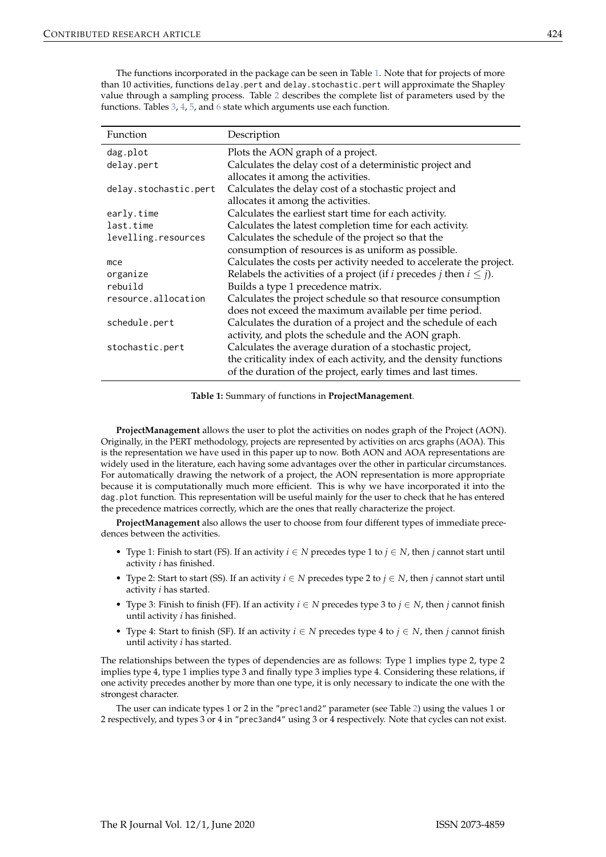The functions incorporated in the package can be seen in Table [1.](#page-5-0) Note that for projects of more than 10 activities, functions delay.pert and delay.stochastic.pert will approximate the Shapley value through a sampling process. Table [2](#page-6-0) describes the complete list of parameters used by the functions. Tables [3,](#page-7-0) [4,](#page-7-1) [5,](#page-7-2) and [6](#page-8-0) state which arguments use each function.

<span id="page-5-0"></span>

| Function              | Description                                                                            |
|-----------------------|----------------------------------------------------------------------------------------|
| dag.plot              | Plots the AON graph of a project.                                                      |
| delay.pert            | Calculates the delay cost of a deterministic project and                               |
|                       | allocates it among the activities.                                                     |
| delay.stochastic.pert | Calculates the delay cost of a stochastic project and                                  |
|                       | allocates it among the activities.                                                     |
| early.time            | Calculates the earliest start time for each activity.                                  |
| last.time             | Calculates the latest completion time for each activity.                               |
| levelling.resources   | Calculates the schedule of the project so that the                                     |
|                       | consumption of resources is as uniform as possible.                                    |
| mce                   | Calculates the costs per activity needed to accelerate the project.                    |
| organize              | Relabels the activities of a project (if <i>i</i> precedes <i>j</i> then $i \leq j$ ). |
| rebuild               | Builds a type 1 precedence matrix.                                                     |
| resource.allocation   | Calculates the project schedule so that resource consumption                           |
|                       | does not exceed the maximum available per time period.                                 |
| schedule.pert         | Calculates the duration of a project and the schedule of each                          |
|                       | activity, and plots the schedule and the AON graph.                                    |
| stochastic.pert       | Calculates the average duration of a stochastic project,                               |
|                       | the criticality index of each activity, and the density functions                      |
|                       | of the duration of the project, early times and last times.                            |

**Table 1:** Summary of functions in **ProjectManagement**.

**ProjectManagement** allows the user to plot the activities on nodes graph of the Project (AON). Originally, in the PERT methodology, projects are represented by activities on arcs graphs (AOA). This is the representation we have used in this paper up to now. Both AON and AOA representations are widely used in the literature, each having some advantages over the other in particular circumstances. For automatically drawing the network of a project, the AON representation is more appropriate because it is computationally much more efficient. This is why we have incorporated it into the dag.plot function. This representation will be useful mainly for the user to check that he has entered the precedence matrices correctly, which are the ones that really characterize the project.

**ProjectManagement** also allows the user to choose from four different types of immediate precedences between the activities.

- Type 1: Finish to start (FS). If an activity  $i \in N$  precedes type 1 to  $j \in N$ , then *j* cannot start until activity *i* has finished.
- Type 2: Start to start (SS). If an activity  $i \in N$  precedes type 2 to  $j \in N$ , then *j* cannot start until activity *i* has started.
- Type 3: Finish to finish (FF). If an activity  $i \in N$  precedes type 3 to  $j \in N$ , then *j* cannot finish until activity *i* has finished.
- Type 4: Start to finish (SF). If an activity *i* ∈ *N* precedes type 4 to *j* ∈ *N*, then *j* cannot finish until activity *i* has started.

The relationships between the types of dependencies are as follows: Type 1 implies type 2, type 2 implies type 4, type 1 implies type 3 and finally type 3 implies type 4. Considering these relations, if one activity precedes another by more than one type, it is only necessary to indicate the one with the strongest character.

The user can indicate types 1 or 2 in the "prec1and2" parameter (see Table [2\)](#page-6-0) using the values 1 or 2 respectively, and types 3 or 4 in "prec3and4" using 3 or 4 respectively. Note that cycles can not exist.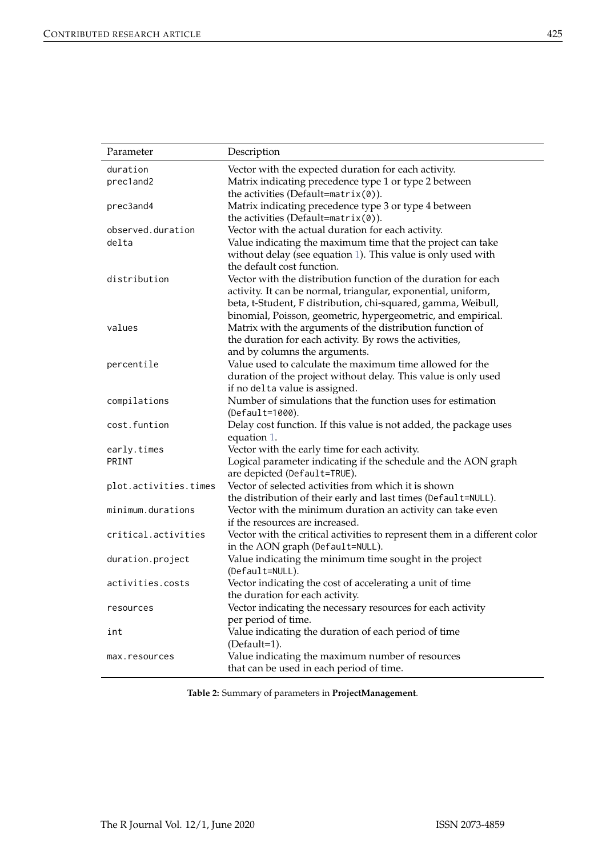<span id="page-6-0"></span>

| Parameter             | Description                                                       |
|-----------------------|-------------------------------------------------------------------|
| duration              | Vector with the expected duration for each activity.              |
| prec1and2             | Matrix indicating precedence type 1 or type 2 between             |
|                       | the activities (Default=matrix $(0)$ ).                           |
| prec3and4             | Matrix indicating precedence type 3 or type 4 between             |
|                       | the activities (Default=matrix $(0)$ ).                           |
| observed.duration     | Vector with the actual duration for each activity.                |
| delta                 | Value indicating the maximum time that the project can take       |
|                       | without delay (see equation 1). This value is only used with      |
|                       | the default cost function.                                        |
| distribution          | Vector with the distribution function of the duration for each    |
|                       | activity. It can be normal, triangular, exponential, uniform,     |
|                       | beta, t-Student, F distribution, chi-squared, gamma, Weibull,     |
|                       | binomial, Poisson, geometric, hypergeometric, and empirical.      |
| values                | Matrix with the arguments of the distribution function of         |
|                       | the duration for each activity. By rows the activities,           |
|                       | and by columns the arguments.                                     |
| percentile            | Value used to calculate the maximum time allowed for the          |
|                       | duration of the project without delay. This value is only used    |
|                       | if no delta value is assigned.                                    |
| compilations          | Number of simulations that the function uses for estimation       |
|                       | (Default=1000).                                                   |
| cost.funtion          | Delay cost function. If this value is not added, the package uses |
|                       | equation 1.                                                       |
| early.times           | Vector with the early time for each activity.                     |
| PRINT                 | Logical parameter indicating if the schedule and the AON graph    |
|                       | are depicted (Default=TRUE).                                      |
| plot.activities.times | Vector of selected activities from which it is shown              |
|                       | the distribution of their early and last times (Default=NULL).    |

|      | without delay (see equa   |
|------|---------------------------|
|      | the default cost function |
| tion | Vector with the distribu  |
|      | activity. It can be norm  |
|      | beta, t-Student, F distri |

|                     | the distribution of their early and last times (Default=NULL).             |
|---------------------|----------------------------------------------------------------------------|
| minimum.durations   | Vector with the minimum duration an activity can take even                 |
|                     | if the resources are increased.                                            |
| critical.activities | Vector with the critical activities to represent them in a different color |
|                     | in the AON graph (Default=NULL).                                           |
| duration.project    | Value indicating the minimum time sought in the project                    |
|                     | (Default=NULL).                                                            |
| activities.costs    | Vector indicating the cost of accelerating a unit of time                  |
|                     | the duration for each activity.                                            |
| resources           | Vector indicating the necessary resources for each activity                |
|                     | per period of time.                                                        |
|                     |                                                                            |

int  $\frac{1}{\sqrt{1-\frac{1}{\sqrt{1-\frac{1}{\sqrt{1-\frac{1}{\sqrt{1-\frac{1}{\sqrt{1-\frac{1}{\sqrt{1-\frac{1}{\sqrt{1-\frac{1}{\sqrt{1-\frac{1}{\sqrt{1-\frac{1}{\sqrt{1-\frac{1}{\sqrt{1-\frac{1}{\sqrt{1-\frac{1}{\sqrt{1-\frac{1}{\sqrt{1-\frac{1}{\sqrt{1-\frac{1}{\sqrt{1-\frac{1}{\sqrt{1-\frac{1}{\sqrt{1-\frac{1}{\sqrt{1-\frac{1}{\sqrt{1-\frac{1}{\sqrt{1-\frac{1}{\sqrt{1-\frac{1}{\sqrt{1-\frac{1}{\sqrt{1-\$ (Default=1).

max.resources Value indicating the maximum number of resources that can be used in each period of time.

**Table 2:** Summary of parameters in **ProjectManagement**.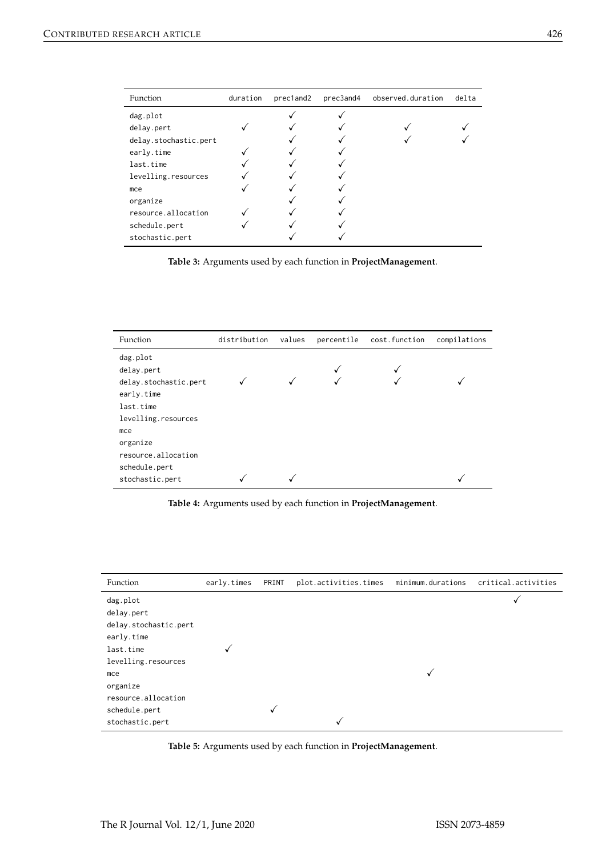<span id="page-7-0"></span>

| Function              | duration | prec1and2 | prec3and4 | observed.duration | delta |
|-----------------------|----------|-----------|-----------|-------------------|-------|
| dag.plot              |          |           |           |                   |       |
| delay.pert            |          |           |           |                   |       |
| delay.stochastic.pert |          |           |           |                   |       |
| early.time            |          |           |           |                   |       |
| last.time             |          |           |           |                   |       |
| levelling.resources   |          |           |           |                   |       |
| mce                   |          |           |           |                   |       |
| organize              |          |           |           |                   |       |
| resource.allocation   |          |           |           |                   |       |
| schedule.pert         |          |           |           |                   |       |
| stochastic.pert       |          |           |           |                   |       |

**Table 3:** Arguments used by each function in **ProjectManagement**.

<span id="page-7-1"></span>

| Function              | distribution | values | percentile | cost.function | compilations |
|-----------------------|--------------|--------|------------|---------------|--------------|
| dag.plot              |              |        |            |               |              |
| delay.pert            |              |        |            |               |              |
| delay.stochastic.pert |              |        |            |               |              |
| early.time            |              |        |            |               |              |
| last.time             |              |        |            |               |              |
| levelling.resources   |              |        |            |               |              |
| mce                   |              |        |            |               |              |
| organize              |              |        |            |               |              |
| resource.allocation   |              |        |            |               |              |
| schedule.pert         |              |        |            |               |              |
| stochastic.pert       |              |        |            |               |              |

**Table 4:** Arguments used by each function in **ProjectManagement**.

<span id="page-7-2"></span>

| Function              | early.times | PRINT | plot.activities.times | minimum.durations | critical.activities |
|-----------------------|-------------|-------|-----------------------|-------------------|---------------------|
| dag.plot              |             |       |                       |                   |                     |
| delay.pert            |             |       |                       |                   |                     |
| delay.stochastic.pert |             |       |                       |                   |                     |
| early.time            |             |       |                       |                   |                     |
| last.time             |             |       |                       |                   |                     |
| levelling.resources   |             |       |                       |                   |                     |
| mce                   |             |       |                       |                   |                     |
| organize              |             |       |                       |                   |                     |
| resource.allocation   |             |       |                       |                   |                     |
| schedule.pert         |             |       |                       |                   |                     |
| stochastic.pert       |             |       | √                     |                   |                     |

**Table 5:** Arguments used by each function in **ProjectManagement**.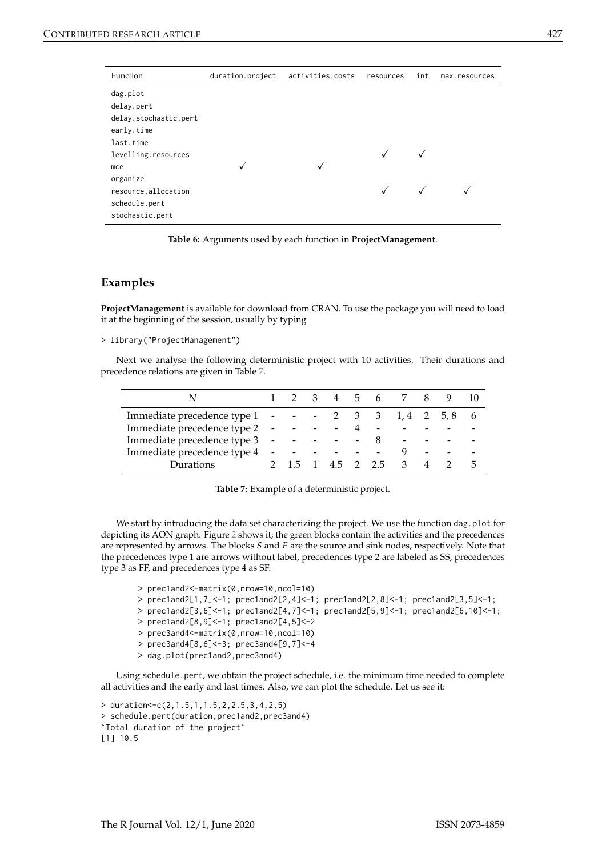<span id="page-8-0"></span>

| Function              | duration.project | activities.costs | resources | int | max.resources |
|-----------------------|------------------|------------------|-----------|-----|---------------|
| dag.plot              |                  |                  |           |     |               |
| delay.pert            |                  |                  |           |     |               |
| delay.stochastic.pert |                  |                  |           |     |               |
| early.time            |                  |                  |           |     |               |
| last.time             |                  |                  |           |     |               |
| levelling.resources   |                  |                  |           |     |               |
| mce                   |                  | √                |           |     |               |
| organize              |                  |                  |           |     |               |
| resource.allocation   |                  |                  |           |     |               |
| schedule.pert         |                  |                  |           |     |               |
| stochastic.pert       |                  |                  |           |     |               |

**Table 6:** Arguments used by each function in **ProjectManagement**.

#### **Examples**

**ProjectManagement** is available for download from CRAN. To use the package you will need to load it at the beginning of the session, usually by typing

```
> library("ProjectManagement")
```
Next we analyse the following deterministic project with 10 activities. Their durations and precedence relations are given in Table [7.](#page-8-1)

<span id="page-8-1"></span>

|                               |                          |               |                          | $b - b$                  |                          |                |   |
|-------------------------------|--------------------------|---------------|--------------------------|--------------------------|--------------------------|----------------|---|
| Immediate precedence type 1 - |                          |               |                          |                          | $-2$ 3 3 1,4 2 5,8       |                |   |
| Immediate precedence type 2 - |                          |               |                          | $\overline{\phantom{a}}$ |                          |                |   |
| Immediate precedence type 3   | $\overline{\phantom{a}}$ |               | $\overline{\phantom{0}}$ | 8                        | $\overline{\phantom{a}}$ |                |   |
| Immediate precedence type 4   | $\overline{\phantom{a}}$ |               | $\sim$ $\sim$            |                          | q                        |                |   |
| Durations                     |                          | $2 \t1.5 \t1$ | 4.5 2 2.5                |                          | 3                        | $\overline{4}$ | h |

**Table 7:** Example of a deterministic project.

We start by introducing the data set characterizing the project. We use the function dag.plot for depicting its AON graph. Figure [2](#page-9-0) shows it; the green blocks contain the activities and the precedences are represented by arrows. The blocks *S* and *E* are the source and sink nodes, respectively. Note that the precedences type 1 are arrows without label, precedences type 2 are labeled as SS, precedences type 3 as FF, and precedences type 4 as SF.

```
> prec1and2<-matrix(0,nrow=10,ncol=10)
> prec1and2[1,7]<-1; prec1and2[2,4]<-1; prec1and2[2,8]<-1; prec1and2[3,5]<-1;
> \frac{1}{2} prec1and2[3,6]<-1; prec1and2[4,7]<-1; prec1and2[5,9]<-1; prec1and2[6,10]<-1;
> prec1and2[8,9]<-1; prec1and2[4,5]<-2
> prec3and4<-matrix(0,nrow=10,ncol=10)
> prec3and4[8,6]<-3; prec3and4[9,7]<-4
> dag.plot(prec1and2,prec3and4)
```
Using schedule.pert, we obtain the project schedule, i.e. the minimum time needed to complete all activities and the early and last times. Also, we can plot the schedule. Let us see it:

```
> duration<-c(2,1.5,1,1.5,2,2.5,3,4,2,5)
> schedule.pert(duration,prec1and2,prec3and4)
`Total duration of the project`
[1] 10.5
```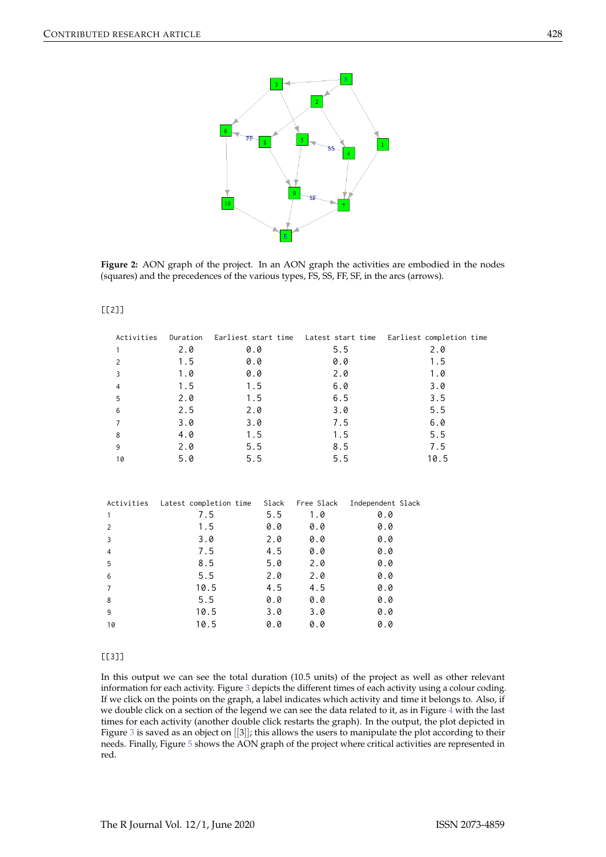<span id="page-9-0"></span>

**Figure 2:** AON graph of the project. In an AON graph the activities are embodied in the nodes (squares) and the precedences of the various types, FS, SS, FF, SF, in the arcs (arrows).

#### [[2]]

| Activities     | Duration | Earliest start time Latest start time |            |                   | Earliest completion time |  |
|----------------|----------|---------------------------------------|------------|-------------------|--------------------------|--|
| $\mathbf{1}$   | 2.0      | 0.0                                   | 5.5        |                   | 2.0                      |  |
| $\overline{2}$ | 1.5      | 0.0                                   | 0.0        |                   | 1.5                      |  |
| $\mathsf{3}$   | 1.0      | 0.0                                   | 2.0        |                   | 1.0                      |  |
| $\overline{4}$ | 1.5      | 1.5                                   | 6.0        |                   | 3.0                      |  |
| 5              | 2.0      | 1.5                                   | 6.5        |                   | 3.5                      |  |
| 6              | 2.5      | 2.0                                   | 3.0        |                   | 5.5                      |  |
| $\overline{7}$ | 3.0      | 3.0                                   | 7.5        |                   | 6.0                      |  |
| 8              | 4.0      | 1.5                                   | 1.5        |                   | 5.5                      |  |
| 9              | 2.0      | 5.5                                   | 8.5        |                   | 7.5                      |  |
| 10             | 5.0      | 5.5                                   | 5.5        |                   | 10.5                     |  |
|                |          |                                       |            |                   |                          |  |
| Activities     |          | Latest completion time Slack          | Free Slack | Independent Slack |                          |  |
| $\mathbf{1}$   | 7.5      | 5.5                                   | 1.0        | 0.0               |                          |  |
| 2              | 1.5      | 0.0                                   | 0.0        | 0.0               |                          |  |
| 3              | 3.0      | 2.0                                   | 0.0        | 0.0               |                          |  |
| 4              | 7.5      | 4.5                                   | 0.0        | 0.0               |                          |  |
| 5              | 8.5      | 5.0                                   | 2.0        | 0.0               |                          |  |
| 6              | 5.5      | 2.0                                   | 2.0        | 0.0               |                          |  |
| $\overline{7}$ | 10.5     | 4.5                                   | 4.5        | 0.0               |                          |  |
| 8              | 5.5      | 0.0                                   | 0.0        | 0.0               |                          |  |
| 9              | 10.5     | 3.0                                   | 3.0        | 0.0               |                          |  |
| 10             | 10.5     | 0.0                                   | 0.0        | 0.0               |                          |  |
|                |          |                                       |            |                   |                          |  |

#### [[3]]

In this output we can see the total duration (10.5 units) of the project as well as other relevant information for each activity. Figure [3](#page-10-0) depicts the different times of each activity using a colour coding. If we click on the points on the graph, a label indicates which activity and time it belongs to. Also, if we double click on a section of the legend we can see the data related to it, as in Figure [4](#page-10-1) with the last times for each activity (another double click restarts the graph). In the output, the plot depicted in Figure [3](#page-10-0) is saved as an object on [[3]]; this allows the users to manipulate the plot according to their needs. Finally, Figure [5](#page-11-0) shows the AON graph of the project where critical activities are represented in red.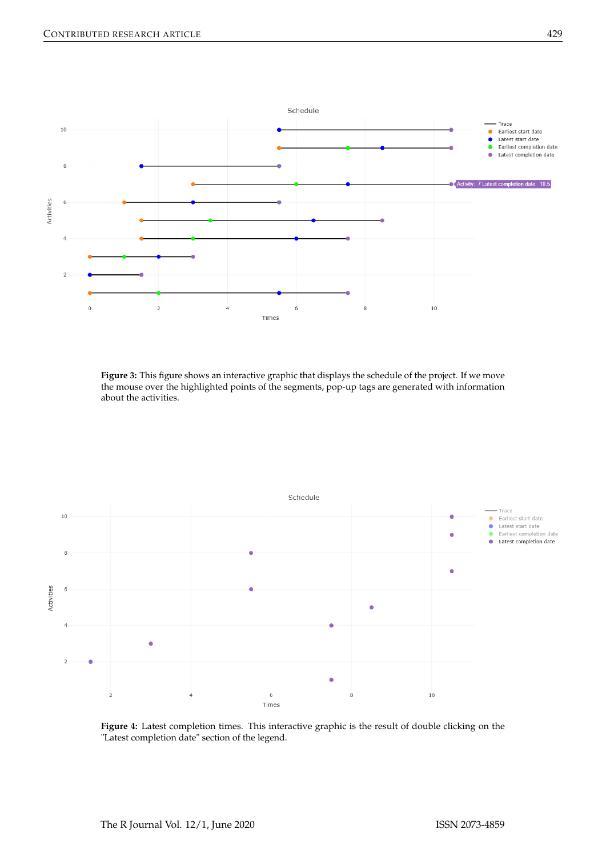<span id="page-10-0"></span>

**Figure 3:** This figure shows an interactive graphic that displays the schedule of the project. If we move the mouse over the highlighted points of the segments, pop-up tags are generated with information about the activities.

<span id="page-10-1"></span>

**Figure 4:** Latest completion times. This interactive graphic is the result of double clicking on the "Latest completion date" section of the legend.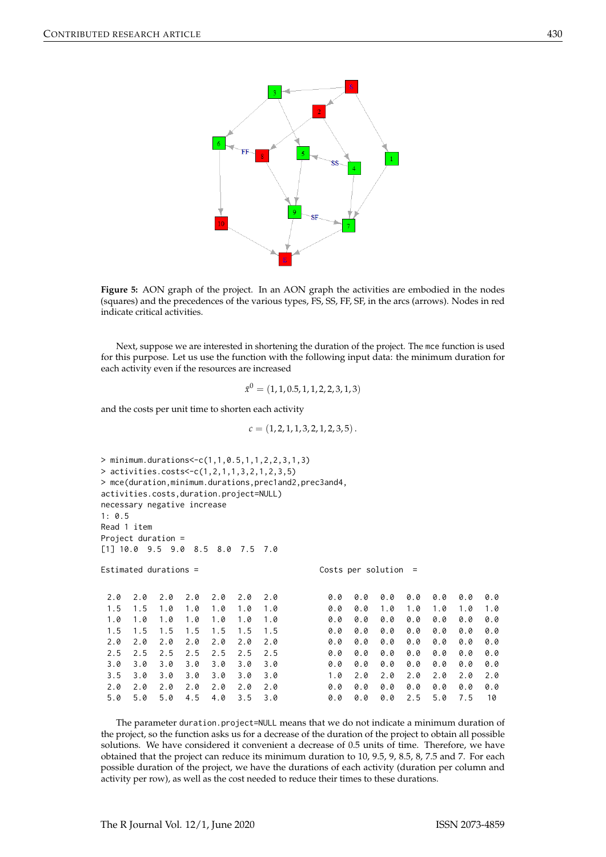<span id="page-11-0"></span>

**Figure 5:** AON graph of the project. In an AON graph the activities are embodied in the nodes (squares) and the precedences of the various types, FS, SS, FF, SF, in the arcs (arrows). Nodes in red indicate critical activities.

Next, suppose we are interested in shortening the duration of the project. The mce function is used for this purpose. Let us use the function with the following input data: the minimum duration for each activity even if the resources are increased

$$
\bar{x}^0 = (1, 1, 0.5, 1, 1, 2, 2, 3, 1, 3)
$$

and the costs per unit time to shorten each activity

$$
c = (1, 2, 1, 1, 3, 2, 1, 2, 3, 5).
$$

```
> minimum.durations<-c(1,1,0.5,1,1,2,2,3,1,3)
> activities.costs<-c(1,2,1,1,3,2,1,2,3,5)
> mce(duration,minimum.durations,prec1and2,prec3and4,
activities.costs,duration.project=NULL)
necessary negative increase
1: 0.5
Read 1 item
Project duration =
[1] 10.0 9.5 9.0 8.5 8.0 7.5 7.0
Estimated durations = Costs per solution =
 2.0 2.0 2.0 2.0 2.0 2.0 2.0
 1.5 1.5 1.0 1.0 1.0 1.0 1.0
 1.0 1.0 1.0 1.0 1.0 1.0 1.0
 1.5 1.5 1.5 1.5 1.5 1.5 1.5
 2.0 2.0 2.0 2.0 2.0 2.0 2.0
 2.5 2.5 2.5 2.5 2.5 2.5 2.5
 3.0 3.0 3.0 3.0 3.0 3.0 3.0
 3.5 3.0 3.0 3.0 3.0 3.0 3.0
 2.0 2.0 2.0 2.0 2.0 2.0 2.0
 5.0 5.0 5.0 4.5 4.0 3.5 3.0
                                       0.0 0.0 0.0 0.0 0.0 0.0 0.0
                                       0.0 0.0 1.0 1.0 1.0 1.0 1.0
                                       0.0 0.0 0.0 0.0 0.0 0.0 0.0
                                       0.0 0.0 0.0 0.0 0.0 0.0 0.0
                                       0.0 0.0 0.0 0.0 0.0 0.0 0.0
                                       0.0 0.0 0.0 0.0 0.0 0.0 0.0
                                       0.0 0.0 0.0 0.0 0.0 0.0 0.0
                                       1.0 2.0 2.0 2.0 2.0 2.0 2.0
                                       0.0 0.0 0.0 0.0 0.0 0.0 0.0
                                       0.0 0.0 0.0 2.5 5.0 7.5 10
```
The parameter duration.project=NULL means that we do not indicate a minimum duration of the project, so the function asks us for a decrease of the duration of the project to obtain all possible solutions. We have considered it convenient a decrease of 0.5 units of time. Therefore, we have obtained that the project can reduce its minimum duration to 10, 9.5, 9, 8.5, 8, 7.5 and 7. For each possible duration of the project, we have the durations of each activity (duration per column and activity per row), as well as the cost needed to reduce their times to these durations.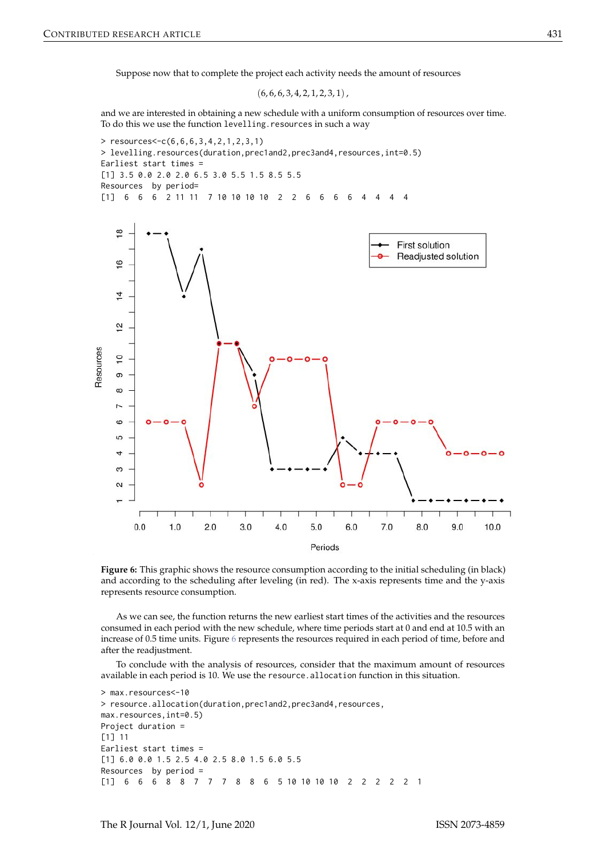Suppose now that to complete the project each activity needs the amount of resources

 $(6, 6, 6, 3, 4, 2, 1, 2, 3, 1)$ ,

and we are interested in obtaining a new schedule with a uniform consumption of resources over time. To do this we use the function levelling. resources in such a way

<span id="page-12-0"></span>

Figure 6: This graphic shows the resource consumption according to the initial scheduling (in black) and according to the scheduling after leveling (in red). The x-axis represents time and the y-axis represents resource consumption.

As we can see, the function returns the new earliest start times of the activities and the resources consumed in each period with the new schedule, where time periods start at 0 and end at 10.5 with an increase of 0.5 time units. Figure [6](#page-12-0) represents the resources required in each period of time, before and after the readjustment.

To conclude with the analysis of resources, consider that the maximum amount of resources available in each period is 10. We use the resource.allocation function in this situation.

```
> max.resources<-10
> resource.allocation(duration,prec1and2,prec3and4,resources,
max.resources,int=0.5)
Project duration =
[1] 11
Earliest start times =
[1] 6.0 0.0 1.5 2.5 4.0 2.5 8.0 1.5 6.0 5.5
Resources by period =
[1] 6 6 6 8 8 7 7 7 8 8 6 5 10 10 10 10 2 2 2 2 2 1
```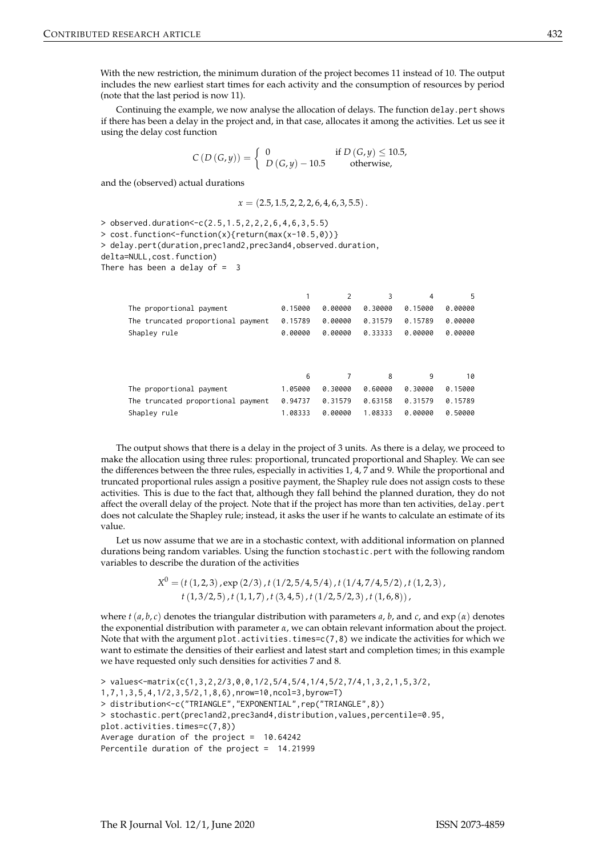With the new restriction, the minimum duration of the project becomes 11 instead of 10. The output includes the new earliest start times for each activity and the consumption of resources by period (note that the last period is now 11).

Continuing the example, we now analyse the allocation of delays. The function delay.pert shows if there has been a delay in the project and, in that case, allocates it among the activities. Let us see it using the delay cost function

$$
C(D(G,y)) = \begin{cases} 0 & \text{if } D(G,y) \le 10.5, \\ D(G,y) - 10.5 & \text{otherwise,} \end{cases}
$$

and the (observed) actual durations

$$
x = (2.5, 1.5, 2, 2, 2, 6, 4, 6, 3, 5.5).
$$

> observed.duration<-c(2.5,1.5,2,2,2,6,4,6,3,5.5) > cost.function<-function(x){return(max(x-10.5,0))} > delay.pert(duration,prec1and2,prec3and4,observed.duration, delta=NULL,cost.function) There has been a delay of  $=$  3

|                                    |         | 2       | 3       | 4       | 5       |
|------------------------------------|---------|---------|---------|---------|---------|
| The proportional payment           | 0.15000 | 0.00000 | 0.30000 | 0.15000 | 0.00000 |
| The truncated proportional payment | 0.15789 | 0.00000 | 0.31579 | 0.15789 | 0.00000 |
| Shapley rule                       | 0.00000 | 0.00000 | 0.33333 | 0.00000 | 0.00000 |
|                                    |         |         |         |         |         |
|                                    | 6       |         | 8       | 9       | 10      |
| The proportional payment           | 1.05000 | 0.30000 | 0.60000 | 0.30000 | 0.15000 |
| The truncated proportional payment | 0.94737 | 0.31579 | 0.63158 | 0.31579 | 0.15789 |
| Shapley rule                       | 1.08333 | 0.00000 | 1.08333 | 0.00000 | 0.50000 |

The output shows that there is a delay in the project of 3 units. As there is a delay, we proceed to make the allocation using three rules: proportional, truncated proportional and Shapley. We can see the differences between the three rules, especially in activities 1, 4, 7 and 9. While the proportional and truncated proportional rules assign a positive payment, the Shapley rule does not assign costs to these activities. This is due to the fact that, although they fall behind the planned duration, they do not affect the overall delay of the project. Note that if the project has more than ten activities, delay.pert does not calculate the Shapley rule; instead, it asks the user if he wants to calculate an estimate of its value.

Let us now assume that we are in a stochastic context, with additional information on planned durations being random variables. Using the function stochastic.pert with the following random variables to describe the duration of the activities

> *X* <sup>0</sup> = (*t*(1, 2, 3), exp (2/3), *t*(1/2, 5/4, 5/4), *t*(1/4, 7/4, 5/2), *t*(1, 2, 3), *t*(1, 3/2, 5), *t*(1, 1, 7), *t*(3, 4, 5), *t*(1/2, 5/2, 3), *t*(1, 6, 8)),

where  $t(a, b, c)$  denotes the triangular distribution with parameters  $a, b$ , and  $c$ , and  $\exp(\alpha)$  denotes the exponential distribution with parameter *α*, we can obtain relevant information about the project. Note that with the argument plot.activities.times=c(7,8) we indicate the activities for which we want to estimate the densities of their earliest and latest start and completion times; in this example we have requested only such densities for activities 7 and 8.

> values<-matrix(c(1,3,2,2/3,0,0,1/2,5/4,5/4,1/4,5/2,7/4,1,3,2,1,5,3/2, 1,7,1,3,5,4,1/2,3,5/2,1,8,6),nrow=10,ncol=3,byrow=T) > distribution<-c("TRIANGLE","EXPONENTIAL",rep("TRIANGLE",8)) > stochastic.pert(prec1and2,prec3and4,distribution,values,percentile=0.95, plot.activities.times=c(7,8)) Average duration of the project =  $10.64242$ Percentile duration of the project = 14.21999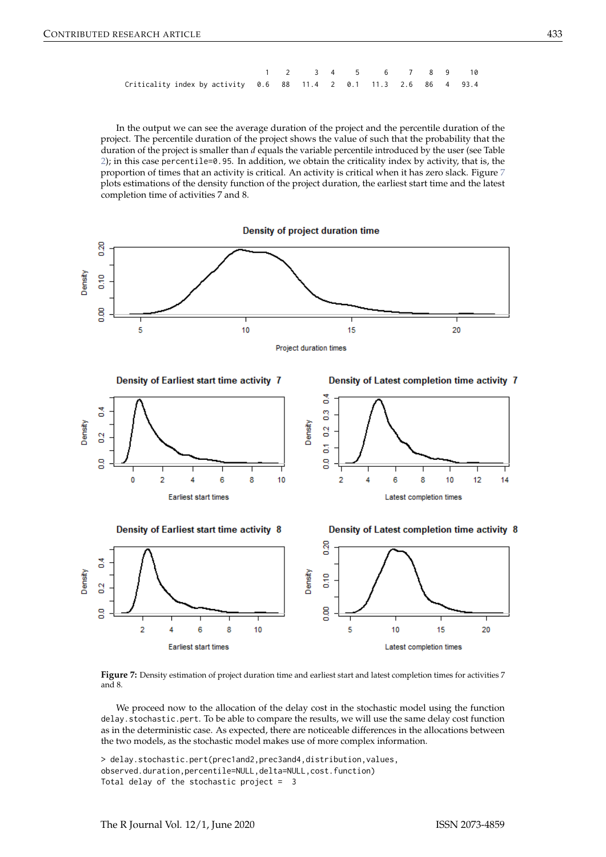|                                                                      |  |  | 1 2 3 4 5 6 7 8 9 10 |  |  |
|----------------------------------------------------------------------|--|--|----------------------|--|--|
| Criticality index by activity $0.6$ 88 11.4 2 0.1 11.3 2.6 86 4 93.4 |  |  |                      |  |  |

In the output we can see the average duration of the project and the percentile duration of the project. The percentile duration of the project shows the value of such that the probability that the duration of the project is smaller than *d* equals the variable percentile introduced by the user (see Table [2\)](#page-6-0); in this case percentile=0.95. In addition, we obtain the criticality index by activity, that is, the proportion of times that an activity is critical. An activity is critical when it has zero slack. Figure [7](#page-14-0) plots estimations of the density function of the project duration, the earliest start time and the latest completion time of activities 7 and 8.

Density of project duration time

<span id="page-14-0"></span>

Figure 7: Density estimation of project duration time and earliest start and latest completion times for activities 7 and 8.

We proceed now to the allocation of the delay cost in the stochastic model using the function delay.stochastic.pert. To be able to compare the results, we will use the same delay cost function as in the deterministic case. As expected, there are noticeable differences in the allocations between the two models, as the stochastic model makes use of more complex information.

```
> delay.stochastic.pert(prec1and2,prec3and4,distribution,values,
observed.duration,percentile=NULL,delta=NULL,cost.function)
Total delay of the stochastic project = 3
```
**Earliest start times** 

Latest completion times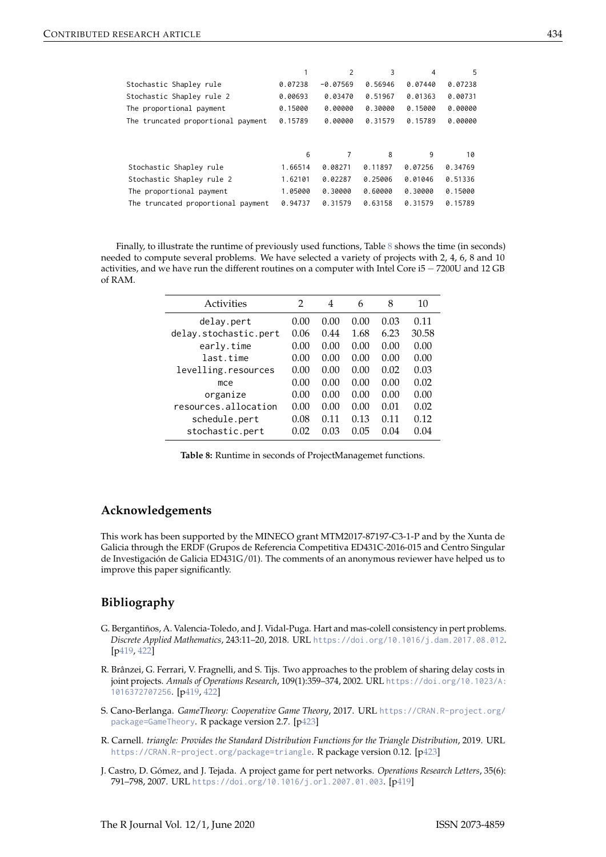|                                    |         | $\overline{2}$ | 3       | 4       | 5       |
|------------------------------------|---------|----------------|---------|---------|---------|
| Stochastic Shapley rule            | 0.07238 | $-0.07569$     | 0.56946 | 0.07440 | 0.07238 |
| Stochastic Shapley rule 2          | 0.00693 | 0.03470        | 0.51967 | 0.01363 | 0.00731 |
| The proportional payment           | 0.15000 | 0.00000        | 0.30000 | 0.15000 | 0.00000 |
| The truncated proportional payment | 0.15789 | 0.00000        | 0.31579 | 0.15789 | 0.00000 |
|                                    | 6       |                | 8       | 9       | 10      |
| Stochastic Shapley rule            | 1.66514 | 0.08271        | 0.11897 | 0.07256 | 0.34769 |
| Stochastic Shapley rule 2          | 1.62101 | 0.02287        | 0.25006 | 0.01046 | 0.51336 |
| The proportional payment           | 1.05000 | 0.30000        | 0.60000 | 0.30000 | 0.15000 |
| The truncated proportional payment | 0.94737 | 0.31579        | 0.63158 | 0.31579 | 0.15789 |

<span id="page-15-5"></span>Finally, to illustrate the runtime of previously used functions, Table [8](#page-15-5) shows the time (in seconds) needed to compute several problems. We have selected a variety of projects with 2, 4, 6, 8 and 10 activities, and we have run the different routines on a computer with Intel Core i5 − 7200U and 12 GB of RAM.

| Activities            | 2    | 4    | 6    | 8    | 10    |
|-----------------------|------|------|------|------|-------|
| delay.pert            | 0.00 | 0.00 | 0.00 | 0.03 | 0.11  |
| delay.stochastic.pert | 0.06 | 0.44 | 1.68 | 6.23 | 30.58 |
| early.time            | 0.00 | 0.00 | 0.00 | 0.00 | 0.00  |
| last.time             | 0.00 | 0.00 | 0.00 | 0.00 | 0.00  |
| levelling.resources   | 0.00 | 0.00 | 0.00 | 0.02 | 0.03  |
| mce                   | 0.00 | 0.00 | 0.00 | 0.00 | 0.02  |
| organize              | 0.00 | 0.00 | 0.00 | 0.00 | 0.00  |
| resources.allocation  | 0.00 | 0.00 | 0.00 | 0.01 | 0.02  |
| schedule.pert         | 0.08 | 0.11 | 0.13 | 0.11 | 0.12  |
| stochastic.pert       | 0.02 | 0.03 | 0.05 | 0.04 | 0.04  |

**Table 8:** Runtime in seconds of ProjectManagemet functions.

## **Acknowledgements**

This work has been supported by the MINECO grant MTM2017-87197-C3-1-P and by the Xunta de Galicia through the ERDF (Grupos de Referencia Competitiva ED431C-2016-015 and Centro Singular de Investigación de Galicia ED431G/01). The comments of an anonymous reviewer have helped us to improve this paper significantly.

## **Bibliography**

- <span id="page-15-2"></span>G. Bergantiños, A. Valencia-Toledo, and J. Vidal-Puga. Hart and mas-colell consistency in pert problems. *Discrete Applied Mathematics*, 243:11–20, 2018. URL <https://doi.org/10.1016/j.dam.2017.08.012>. [[p419,](#page-0-1) [422\]](#page-3-1)
- <span id="page-15-1"></span>R. Brânzei, G. Ferrari, V. Fragnelli, and S. Tijs. Two approaches to the problem of sharing delay costs in joint projects. *Annals of Operations Research*, 109(1):359–374, 2002. URL [https://doi.org/10.1023/A:](https://doi.org/10.1023/A:1016372707256) [1016372707256](https://doi.org/10.1023/A:1016372707256). [[p419,](#page-0-1) [422\]](#page-3-1)
- <span id="page-15-4"></span>S. Cano-Berlanga. *GameTheory: Cooperative Game Theory*, 2017. URL [https://CRAN.R-project.org/](https://CRAN.R-project.org/package=GameTheory) [package=GameTheory](https://CRAN.R-project.org/package=GameTheory). R package version 2.7. [[p423\]](#page-4-0)
- <span id="page-15-3"></span>R. Carnell. *triangle: Provides the Standard Distribution Functions for the Triangle Distribution*, 2019. URL <https://CRAN.R-project.org/package=triangle>. R package version 0.12. [[p423\]](#page-4-0)
- <span id="page-15-0"></span>J. Castro, D. Gómez, and J. Tejada. A project game for pert networks. *Operations Research Letters*, 35(6): 791–798, 2007. URL <https://doi.org/10.1016/j.orl.2007.01.003>. [[p419\]](#page-0-1)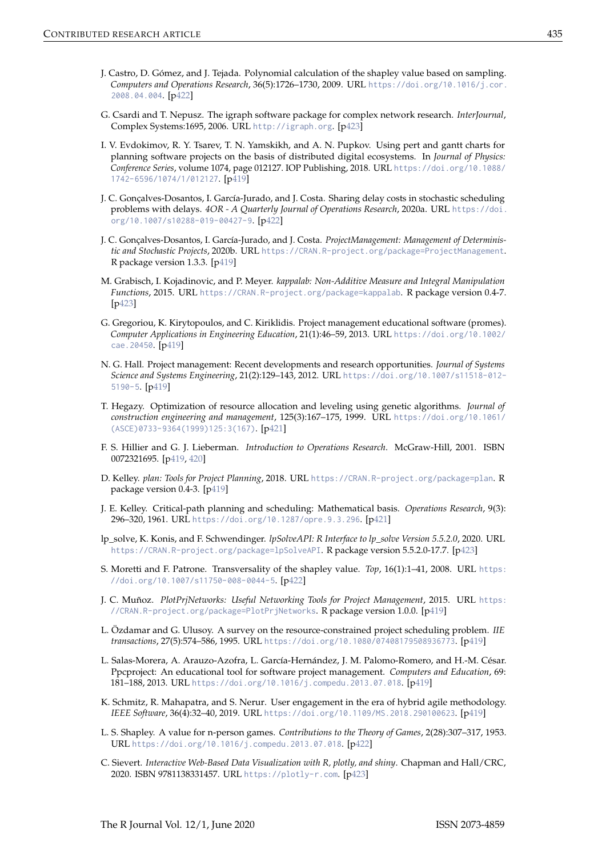- <span id="page-16-14"></span>J. Castro, D. Gómez, and J. Tejada. Polynomial calculation of the shapley value based on sampling. *Computers and Operations Research*, 36(5):1726–1730, 2009. URL [https://doi.org/10.1016/j.cor.](https://doi.org/10.1016/j.cor.2008.04.004) [2008.04.004](https://doi.org/10.1016/j.cor.2008.04.004). [[p422\]](#page-3-1)
- <span id="page-16-17"></span>G. Csardi and T. Nepusz. The igraph software package for complex network research. *InterJournal*, Complex Systems:1695, 2006. URL <http://igraph.org>. [[p423\]](#page-4-0)
- <span id="page-16-3"></span>I. V. Evdokimov, R. Y. Tsarev, T. N. Yamskikh, and A. N. Pupkov. Using pert and gantt charts for planning software projects on the basis of distributed digital ecosystems. In *Journal of Physics: Conference Series*, volume 1074, page 012127. IOP Publishing, 2018. URL [https://doi.org/10.1088/](https://doi.org/10.1088/1742-6596/1074/1/012127) [1742-6596/1074/1/012127](https://doi.org/10.1088/1742-6596/1074/1/012127). [[p419\]](#page-0-1)
- <span id="page-16-15"></span>J. C. Gonçalves-Dosantos, I. García-Jurado, and J. Costa. Sharing delay costs in stochastic scheduling problems with delays. *4OR - A Quarterly Journal of Operations Research*, 2020a. URL [https://doi.](https://doi.org/10.1007/s10288-019-00427-9) [org/10.1007/s10288-019-00427-9](https://doi.org/10.1007/s10288-019-00427-9). [[p422\]](#page-3-1)
- <span id="page-16-9"></span>J. C. Gonçalves-Dosantos, I. García-Jurado, and J. Costa. *ProjectManagement: Management of Deterministic and Stochastic Projects*, 2020b. URL <https://CRAN.R-project.org/package=ProjectManagement>. R package version 1.3.3. [[p419\]](#page-0-1)
- <span id="page-16-18"></span>M. Grabisch, I. Kojadinovic, and P. Meyer. *kappalab: Non-Additive Measure and Integral Manipulation Functions*, 2015. URL <https://CRAN.R-project.org/package=kappalab>. R package version 0.4-7. [[p423\]](#page-4-0)
- <span id="page-16-5"></span>G. Gregoriou, K. Kirytopoulos, and C. Kiriklidis. Project management educational software (promes). *Computer Applications in Engineering Education*, 21(1):46–59, 2013. URL [https://doi.org/10.1002/](https://doi.org/10.1002/cae.20450) [cae.20450](https://doi.org/10.1002/cae.20450). [[p419\]](#page-0-1)
- <span id="page-16-1"></span>N. G. Hall. Project management: Recent developments and research opportunities. *Journal of Systems Science and Systems Engineering*, 21(2):129–143, 2012. URL [https://doi.org/10.1007/s11518-012-](https://doi.org/10.1007/s11518-012-5190-5) [5190-5](https://doi.org/10.1007/s11518-012-5190-5). [[p419\]](#page-0-1)
- <span id="page-16-11"></span>T. Hegazy. Optimization of resource allocation and leveling using genetic algorithms. *Journal of construction engineering and management*, 125(3):167–175, 1999. URL [https://doi.org/10.1061/](https://doi.org/10.1061/(ASCE)0733-9364(1999)125:3(167)) [\(ASCE\)0733-9364\(1999\)125:3\(167\)](https://doi.org/10.1061/(ASCE)0733-9364(1999)125:3(167)). [[p421\]](#page-2-0)
- <span id="page-16-0"></span>F. S. Hillier and G. J. Lieberman. *Introduction to Operations Research*. McGraw-Hill, 2001. ISBN 0072321695. [[p419,](#page-0-1) [420\]](#page-1-1)
- <span id="page-16-8"></span>D. Kelley. *plan: Tools for Project Planning*, 2018. URL <https://CRAN.R-project.org/package=plan>. R package version 0.4-3. [[p419\]](#page-0-1)
- <span id="page-16-10"></span>J. E. Kelley. Critical-path planning and scheduling: Mathematical basis. *Operations Research*, 9(3): 296–320, 1961. URL <https://doi.org/10.1287/opre.9.3.296>. [[p421\]](#page-2-0)
- <span id="page-16-19"></span>lp\_solve, K. Konis, and F. Schwendinger. *lpSolveAPI: R Interface to lp\_solve Version 5.5.2.0*, 2020. URL <https://CRAN.R-project.org/package=lpSolveAPI>. R package version 5.5.2.0-17.7. [[p423\]](#page-4-0)
- <span id="page-16-13"></span>S. Moretti and F. Patrone. Transversality of the shapley value. *Top*, 16(1):1–41, 2008. URL [https:](https://doi.org/10.1007/s11750-008-0044-5) [//doi.org/10.1007/s11750-008-0044-5](https://doi.org/10.1007/s11750-008-0044-5). [[p422\]](#page-3-1)
- <span id="page-16-7"></span>J. C. Muñoz. *PlotPrjNetworks: Useful Networking Tools for Project Management*, 2015. URL [https:](https://CRAN.R-project.org/package=PlotPrjNetworks) [//CRAN.R-project.org/package=PlotPrjNetworks](https://CRAN.R-project.org/package=PlotPrjNetworks). R package version 1.0.0. [[p419\]](#page-0-1)
- <span id="page-16-4"></span>L. Özdamar and G. Ulusoy. A survey on the resource-constrained project scheduling problem. *IIE transactions*, 27(5):574–586, 1995. URL <https://doi.org/10.1080/07408179508936773>. [[p419\]](#page-0-1)
- <span id="page-16-6"></span>L. Salas-Morera, A. Arauzo-Azofra, L. García-Hernández, J. M. Palomo-Romero, and H.-M. César. Ppcproject: An educational tool for software project management. *Computers and Education*, 69: 181–188, 2013. URL <https://doi.org/10.1016/j.compedu.2013.07.018>. [[p419\]](#page-0-1)
- <span id="page-16-2"></span>K. Schmitz, R. Mahapatra, and S. Nerur. User engagement in the era of hybrid agile methodology. *IEEE Software*, 36(4):32–40, 2019. URL <https://doi.org/10.1109/MS.2018.290100623>. [[p419\]](#page-0-1)
- <span id="page-16-12"></span>L. S. Shapley. A value for n-person games. *Contributions to the Theory of Games*, 2(28):307–317, 1953. URL <https://doi.org/10.1016/j.compedu.2013.07.018>. [[p422\]](#page-3-1)
- <span id="page-16-16"></span>C. Sievert. *Interactive Web-Based Data Visualization with R, plotly, and shiny*. Chapman and Hall/CRC, 2020. ISBN 9781138331457. URL <https://plotly-r.com>. [[p423\]](#page-4-0)